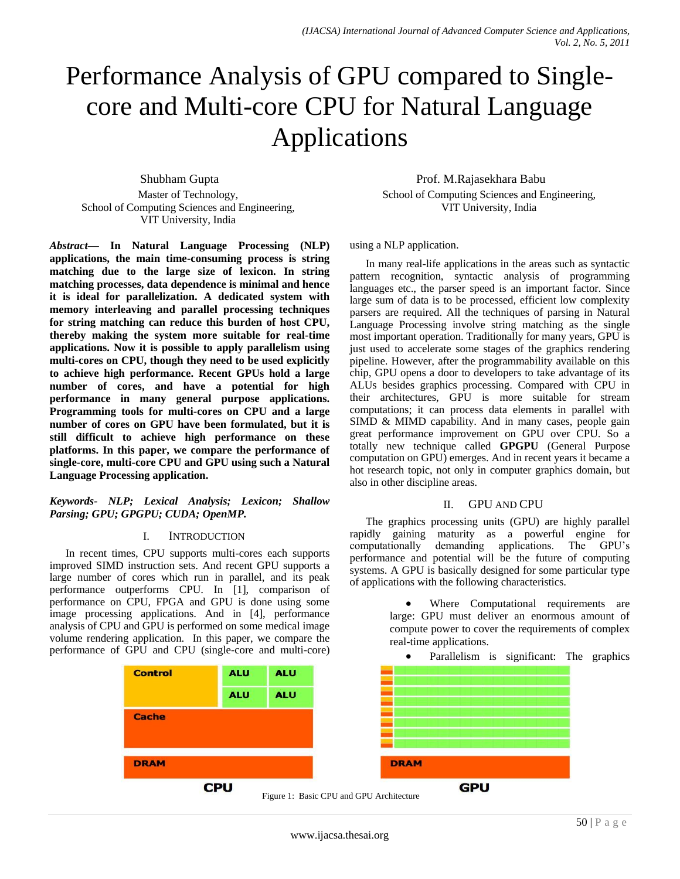# Performance Analysis of GPU compared to Singlecore and Multi-core CPU for Natural Language Applications

Shubham Gupta Master of Technology, School of Computing Sciences and Engineering, VIT University, India

*Abstract***— In Natural Language Processing (NLP) applications, the main time-consuming process is string matching due to the large size of lexicon. In string matching processes, data dependence is minimal and hence it is ideal for parallelization. A dedicated system with memory interleaving and parallel processing techniques for string matching can reduce this burden of host CPU, thereby making the system more suitable for real-time applications. Now it is possible to apply parallelism using multi-cores on CPU, though they need to be used explicitly to achieve high performance. Recent GPUs hold a large number of cores, and have a potential for high performance in many general purpose applications. Programming tools for multi-cores on CPU and a large number of cores on GPU have been formulated, but it is still difficult to achieve high performance on these platforms. In this paper, we compare the performance of single-core, multi-core CPU and GPU using such a Natural Language Processing application.**

#### *Keywords- NLP; Lexical Analysis; Lexicon; Shallow Parsing; GPU; GPGPU; CUDA; OpenMP.*

#### I. INTRODUCTION

In recent times, CPU supports multi-cores each supports improved SIMD instruction sets. And recent GPU supports a large number of cores which run in parallel, and its peak performance outperforms CPU. In [1], comparison of performance on CPU, FPGA and GPU is done using some image processing applications. And in [4], performance analysis of CPU and GPU is performed on some medical image volume rendering application. In this paper, we compare the performance of GPU and CPU (single-core and multi-core)

Prof. M.Rajasekhara Babu School of Computing Sciences and Engineering, VIT University, India

using a NLP application.

In many real-life applications in the areas such as syntactic pattern recognition, syntactic analysis of programming languages etc., the parser speed is an important factor. Since large sum of data is to be processed, efficient low complexity parsers are required. All the techniques of parsing in Natural Language Processing involve string matching as the single most important operation. Traditionally for many years, GPU is just used to accelerate some stages of the graphics rendering pipeline. However, after the programmability available on this chip, GPU opens a door to developers to take advantage of its ALUs besides graphics processing. Compared with CPU in their architectures, GPU is more suitable for stream computations; it can process data elements in parallel with SIMD & MIMD capability. And in many cases, people gain great performance improvement on GPU over CPU. So a totally new technique called **GPGPU** (General Purpose computation on GPU) emerges. And in recent years it became a hot research topic, not only in computer graphics domain, but also in other discipline areas.

#### II. GPU AND CPU

The graphics processing units (GPU) are highly parallel rapidly gaining maturity as a powerful engine for computationally demanding applications. The GPU's computationally demanding applications. performance and potential will be the future of computing systems. A GPU is basically designed for some particular type of applications with the following characteristics.

> Where Computational requirements are large: GPU must deliver an enormous amount of compute power to cover the requirements of complex real-time applications.



www.ijacsa.thesai.org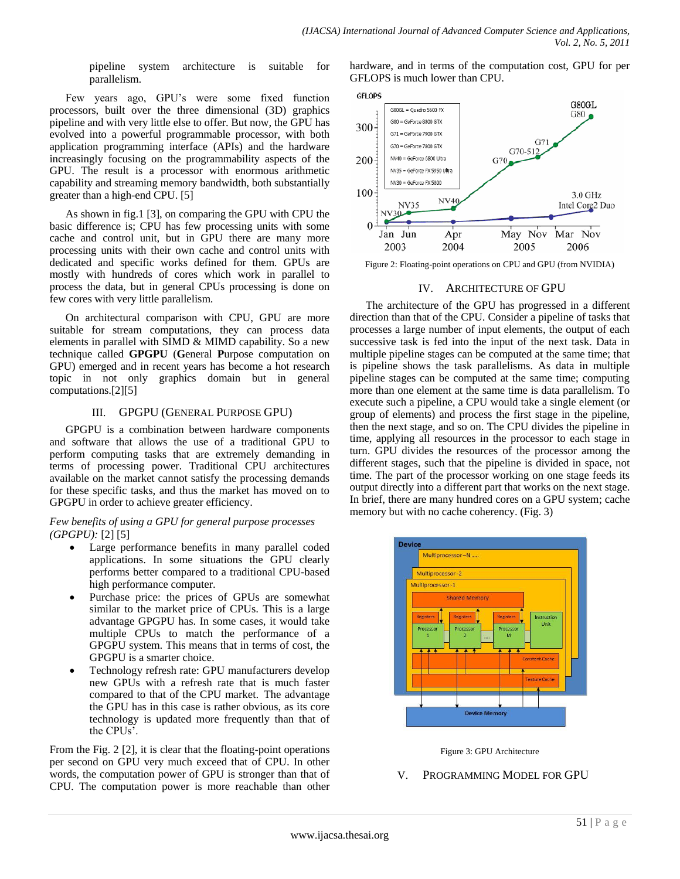pipeline system architecture is suitable for parallelism.

Few years ago, GPU's were some fixed function processors, built over the three dimensional (3D) graphics pipeline and with very little else to offer. But now, the GPU has evolved into a powerful programmable processor, with both application programming interface (APIs) and the hardware increasingly focusing on the programmability aspects of the GPU. The result is a processor with enormous arithmetic capability and streaming memory bandwidth, both substantially greater than a high-end CPU. [5]

As shown in fig.1 [3], on comparing the GPU with CPU the basic difference is; CPU has few processing units with some cache and control unit, but in GPU there are many more processing units with their own cache and control units with dedicated and specific works defined for them. GPUs are mostly with hundreds of cores which work in parallel to process the data, but in general CPUs processing is done on few cores with very little parallelism.

On architectural comparison with CPU, GPU are more suitable for stream computations, they can process data elements in parallel with SIMD & MIMD capability. So a new technique called **GPGPU** (**G**eneral **P**urpose computation on GPU) emerged and in recent years has become a hot research topic in not only graphics domain but in general computations.[2][5]

#### III. GPGPU (GENERAL PURPOSE GPU)

GPGPU is a combination between hardware components and software that allows the use of a traditional GPU to perform computing tasks that are extremely demanding in terms of processing power. Traditional CPU architectures available on the market cannot satisfy the processing demands for these specific tasks, and thus the market has moved on to GPGPU in order to achieve greater efficiency.

#### *Few benefits of using a GPU for general purpose processes (GPGPU):* [2] [5]

- Large performance benefits in many parallel coded applications. In some situations the GPU clearly performs better compared to a traditional CPU-based high performance computer.
- Purchase price: the prices of GPUs are somewhat similar to the market price of CPUs. This is a large advantage GPGPU has. In some cases, it would take multiple CPUs to match the performance of a GPGPU system. This means that in terms of cost, the GPGPU is a smarter choice.
- Technology refresh rate: GPU manufacturers develop new GPUs with a refresh rate that is much faster compared to that of the CPU market. The advantage the GPU has in this case is rather obvious, as its core technology is updated more frequently than that of the CPUs'.

From the Fig. 2 [2], it is clear that the floating-point operations per second on GPU very much exceed that of CPU. In other words, the computation power of GPU is stronger than that of CPU. The computation power is more reachable than other hardware, and in terms of the computation cost, GPU for per GFLOPS is much lower than CPU.



Figure 2: Floating-point operations on CPU and GPU (from NVIDIA)

# IV. ARCHITECTURE OF GPU

The architecture of the GPU has progressed in a different direction than that of the CPU. Consider a pipeline of tasks that processes a large number of input elements, the output of each successive task is fed into the input of the next task. Data in multiple pipeline stages can be computed at the same time; that is pipeline shows the task parallelisms. As data in multiple pipeline stages can be computed at the same time; computing more than one element at the same time is data parallelism. To execute such a pipeline, a CPU would take a single element (or group of elements) and process the first stage in the pipeline, then the next stage, and so on. The CPU divides the pipeline in time, applying all resources in the processor to each stage in turn. GPU divides the resources of the processor among the different stages, such that the pipeline is divided in space, not time. The part of the processor working on one stage feeds its output directly into a different part that works on the next stage. In brief, there are many hundred cores on a GPU system; cache memory but with no cache coherency. (Fig. 3)





# V. PROGRAMMING MODEL FOR GPU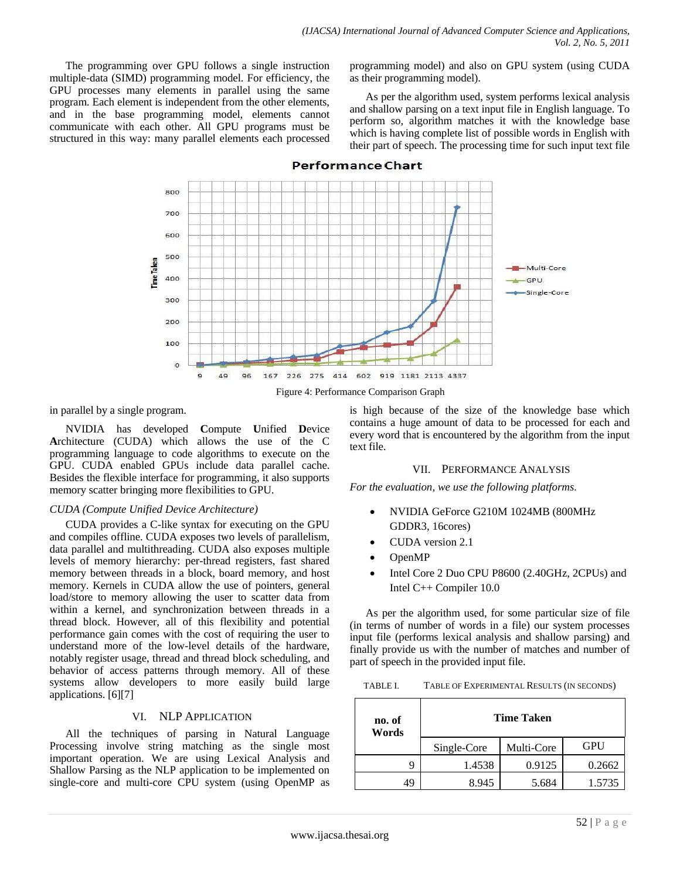The programming over GPU follows a single instruction multiple-data (SIMD) programming model. For efficiency, the GPU processes many elements in parallel using the same program. Each element is independent from the other elements, and in the base programming model, elements cannot communicate with each other. All GPU programs must be structured in this way: many parallel elements each processed programming model) and also on GPU system (using CUDA as their programming model).

As per the algorithm used, system performs lexical analysis and shallow parsing on a text input file in English language. To perform so, algorithm matches it with the knowledge base which is having complete list of possible words in English with their part of speech. The processing time for such input text file



#### **Performance Chart**

in parallel by a single program.

NVIDIA has developed **C**ompute **U**nified **D**evice **A**rchitecture (CUDA) which allows the use of the C programming language to code algorithms to execute on the GPU. CUDA enabled GPUs include data parallel cache. Besides the flexible interface for programming, it also supports memory scatter bringing more flexibilities to GPU.

#### *CUDA (Compute Unified Device Architecture)*

CUDA provides a C-like syntax for executing on the GPU and compiles offline. CUDA exposes two levels of parallelism, data parallel and multithreading. CUDA also exposes multiple levels of memory hierarchy: per-thread registers, fast shared memory between threads in a block, board memory, and host memory. Kernels in CUDA allow the use of pointers, general load/store to memory allowing the user to scatter data from within a kernel, and synchronization between threads in a thread block. However, all of this flexibility and potential performance gain comes with the cost of requiring the user to understand more of the low-level details of the hardware, notably register usage, thread and thread block scheduling, and behavior of access patterns through memory. All of these systems allow developers to more easily build large applications. [6][7]

## VI. NLP APPLICATION

All the techniques of parsing in Natural Language Processing involve string matching as the single most important operation. We are using Lexical Analysis and Shallow Parsing as the NLP application to be implemented on single-core and multi-core CPU system (using OpenMP as

is high because of the size of the knowledge base which contains a huge amount of data to be processed for each and every word that is encountered by the algorithm from the input text file.

#### VII. PERFORMANCE ANALYSIS

*For the evaluation, we use the following platforms.*

- NVIDIA GeForce G210M 1024MB (800MHz GDDR3, 16cores)
- CUDA version 2.1
- OpenMP
- Intel Core 2 Duo CPU P8600 (2.40GHz, 2CPUs) and Intel C++ Compiler 10.0

As per the algorithm used, for some particular size of file (in terms of number of words in a file) our system processes input file (performs lexical analysis and shallow parsing) and finally provide us with the number of matches and number of part of speech in the provided input file.

TABLE I. TABLE OF EXPERIMENTAL RESULTS (IN SECONDS)

| no. of<br>Words | <b>Time Taken</b> |            |        |
|-----------------|-------------------|------------|--------|
|                 | Single-Core       | Multi-Core | GPU    |
| Q               | 1.4538            | 0.9125     | 0.2662 |
|                 | 8.945             | 5.684      | 1.5735 |